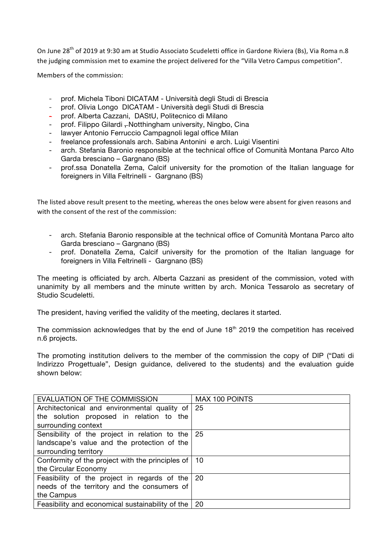On June 28<sup>th</sup> of 2019 at 9:30 am at Studio Associato Scudeletti office in Gardone Riviera (Bs), Via Roma n.8 the judging commission met to examine the project delivered for the "Villa Vetro Campus competition".

Members of the commission:

- prof. Michela Tiboni DICATAM Università degli Studi di Brescia
- prof. Olivia Longo DICATAM Università degli Studi di Brescia
- prof. Alberta Cazzani, DAStU, Politecnico di Milano
- prof. Filippo Gilardi Notthingham university, Ningbo, Cina
- lawyer Antonio Ferruccio Campagnoli legal office Milan
- freelance professionals arch. Sabina Antonini e arch. Luigi Visentini
- arch. Stefania Baronio responsible at the technical office of Comunità Montana Parco Alto Garda bresciano – Gargnano (BS)
- prof.ssa Donatella Zema, Calcif university for the promotion of the Italian language for foreigners in Villa Feltrinelli - Gargnano (BS)

The listed above result present to the meeting, whereas the ones below were absent for given reasons and with the consent of the rest of the commission:

- arch. Stefania Baronio responsible at the technical office of Comunità Montana Parco alto Garda bresciano – Gargnano (BS)
- prof. Donatella Zema, Calcif university for the promotion of the Italian language for foreigners in Villa Feltrinelli - Gargnano (BS)

The meeting is officiated by arch. Alberta Cazzani as president of the commission, voted with unanimity by all members and the minute written by arch. Monica Tessarolo as secretary of Studio Scudeletti.

The president, having verified the validity of the meeting, declares it started.

The commission acknowledges that by the end of June  $18<sup>th</sup>$  2019 the competition has received n.6 projects.

The promoting institution delivers to the member of the commission the copy of DIP ("Dati di Indirizzo Progettuale", Design guidance, delivered to the students) and the evaluation guide shown below:

| EVALUATION OF THE COMMISSION                          | MAX 100 POINTS |
|-------------------------------------------------------|----------------|
| Architectonical and environmental quality of 25       |                |
| the solution proposed in relation to the              |                |
| surrounding context                                   |                |
| Sensibility of the project in relation to the         | 25             |
| landscape's value and the protection of the           |                |
| surrounding territory                                 |                |
| Conformity of the project with the principles of   10 |                |
| the Circular Economy                                  |                |
| Feasibility of the project in regards of the   20     |                |
| needs of the territory and the consumers of           |                |
| the Campus                                            |                |
| Feasibility and economical sustainability of the      | -20            |